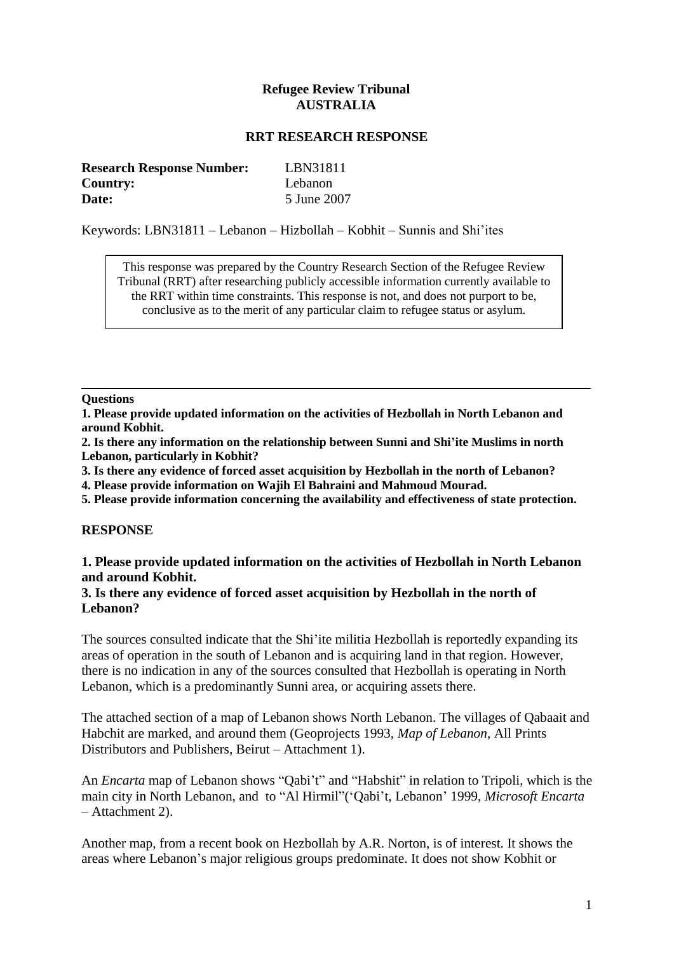# **Refugee Review Tribunal AUSTRALIA**

## **RRT RESEARCH RESPONSE**

| <b>Research Response Number:</b> | LBN31811    |
|----------------------------------|-------------|
| <b>Country:</b>                  | Lebanon     |
| Date:                            | 5 June 2007 |

Keywords: LBN31811 – Lebanon – Hizbollah – Kobhit – Sunnis and Shi"ites

This response was prepared by the Country Research Section of the Refugee Review Tribunal (RRT) after researching publicly accessible information currently available to the RRT within time constraints. This response is not, and does not purport to be, conclusive as to the merit of any particular claim to refugee status or asylum.

#### **Questions**

**1. Please provide updated information on the activities of Hezbollah in North Lebanon and around Kobhit.**

**2. Is there any information on the relationship between Sunni and Shi'ite Muslims in north Lebanon, particularly in Kobhit?**

**3. Is there any evidence of forced asset acquisition by Hezbollah in the north of Lebanon?**

**4. Please provide information on Wajih El Bahraini and Mahmoud Mourad.**

**5. Please provide information concerning the availability and effectiveness of state protection.**

### **RESPONSE**

## **1. Please provide updated information on the activities of Hezbollah in North Lebanon and around Kobhit.**

### **3. Is there any evidence of forced asset acquisition by Hezbollah in the north of Lebanon?**

The sources consulted indicate that the Shi"ite militia Hezbollah is reportedly expanding its areas of operation in the south of Lebanon and is acquiring land in that region. However, there is no indication in any of the sources consulted that Hezbollah is operating in North Lebanon, which is a predominantly Sunni area, or acquiring assets there.

The attached section of a map of Lebanon shows North Lebanon. The villages of Qabaait and Habchit are marked, and around them (Geoprojects 1993, *Map of Lebanon,* All Prints Distributors and Publishers, Beirut – Attachment 1).

An *Encarta* map of Lebanon shows "Qabi't" and "Habshit" in relation to Tripoli, which is the main city in North Lebanon, and to "Al Hirmil"("Qabi"t, Lebanon" 1999, *Microsoft Encarta* – Attachment 2).

Another map, from a recent book on Hezbollah by A.R. Norton, is of interest. It shows the areas where Lebanon"s major religious groups predominate. It does not show Kobhit or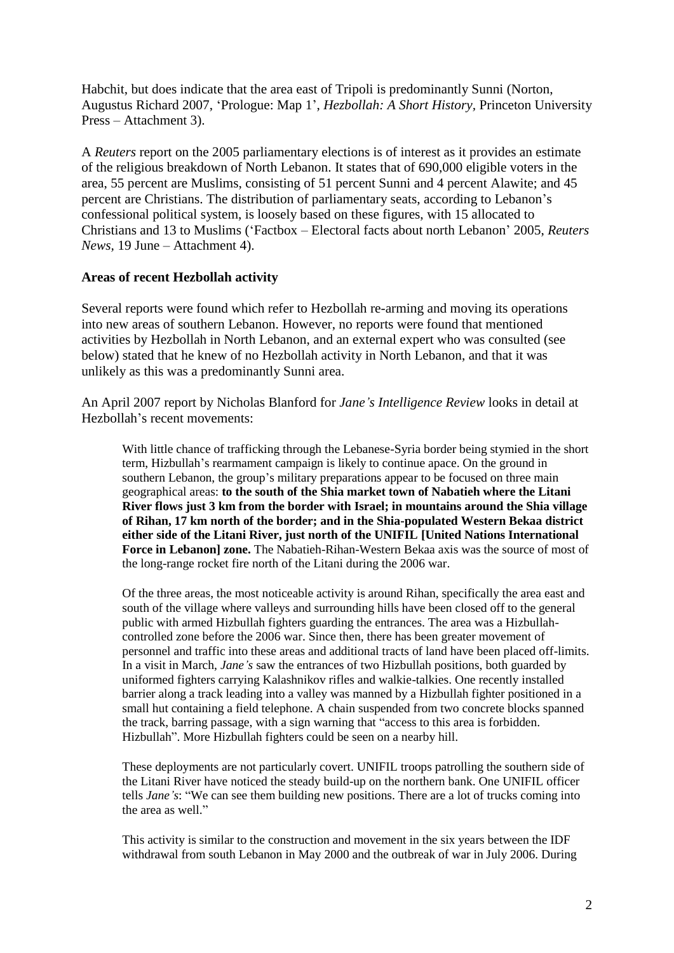Habchit, but does indicate that the area east of Tripoli is predominantly Sunni (Norton, Augustus Richard 2007, "Prologue: Map 1", *Hezbollah: A Short History,* Princeton University Press – Attachment 3).

A *Reuters* report on the 2005 parliamentary elections is of interest as it provides an estimate of the religious breakdown of North Lebanon. It states that of 690,000 eligible voters in the area, 55 percent are Muslims, consisting of 51 percent Sunni and 4 percent Alawite; and 45 percent are Christians. The distribution of parliamentary seats, according to Lebanon"s confessional political system, is loosely based on these figures, with 15 allocated to Christians and 13 to Muslims ("Factbox – Electoral facts about north Lebanon" 2005, *Reuters News,* 19 June – Attachment 4).

## **Areas of recent Hezbollah activity**

Several reports were found which refer to Hezbollah re-arming and moving its operations into new areas of southern Lebanon. However, no reports were found that mentioned activities by Hezbollah in North Lebanon, and an external expert who was consulted (see below) stated that he knew of no Hezbollah activity in North Lebanon, and that it was unlikely as this was a predominantly Sunni area.

An April 2007 report by Nicholas Blanford for *Jane's Intelligence Review* looks in detail at Hezbollah"s recent movements:

With little chance of trafficking through the Lebanese-Syria border being stymied in the short term, Hizbullah"s rearmament campaign is likely to continue apace. On the ground in southern Lebanon, the group's military preparations appear to be focused on three main geographical areas: **to the south of the Shia market town of Nabatieh where the Litani River flows just 3 km from the border with Israel; in mountains around the Shia village of Rihan, 17 km north of the border; and in the Shia-populated Western Bekaa district either side of the Litani River, just north of the UNIFIL [United Nations International Force in Lebanon] zone.** The Nabatieh-Rihan-Western Bekaa axis was the source of most of the long-range rocket fire north of the Litani during the 2006 war.

Of the three areas, the most noticeable activity is around Rihan, specifically the area east and south of the village where valleys and surrounding hills have been closed off to the general public with armed Hizbullah fighters guarding the entrances. The area was a Hizbullahcontrolled zone before the 2006 war. Since then, there has been greater movement of personnel and traffic into these areas and additional tracts of land have been placed off-limits. In a visit in March, *Jane's* saw the entrances of two Hizbullah positions, both guarded by uniformed fighters carrying Kalashnikov rifles and walkie-talkies. One recently installed barrier along a track leading into a valley was manned by a Hizbullah fighter positioned in a small hut containing a field telephone. A chain suspended from two concrete blocks spanned the track, barring passage, with a sign warning that "access to this area is forbidden. Hizbullah". More Hizbullah fighters could be seen on a nearby hill.

These deployments are not particularly covert. UNIFIL troops patrolling the southern side of the Litani River have noticed the steady build-up on the northern bank. One UNIFIL officer tells *Jane's*: "We can see them building new positions. There are a lot of trucks coming into the area as well."

This activity is similar to the construction and movement in the six years between the IDF withdrawal from south Lebanon in May 2000 and the outbreak of war in July 2006. During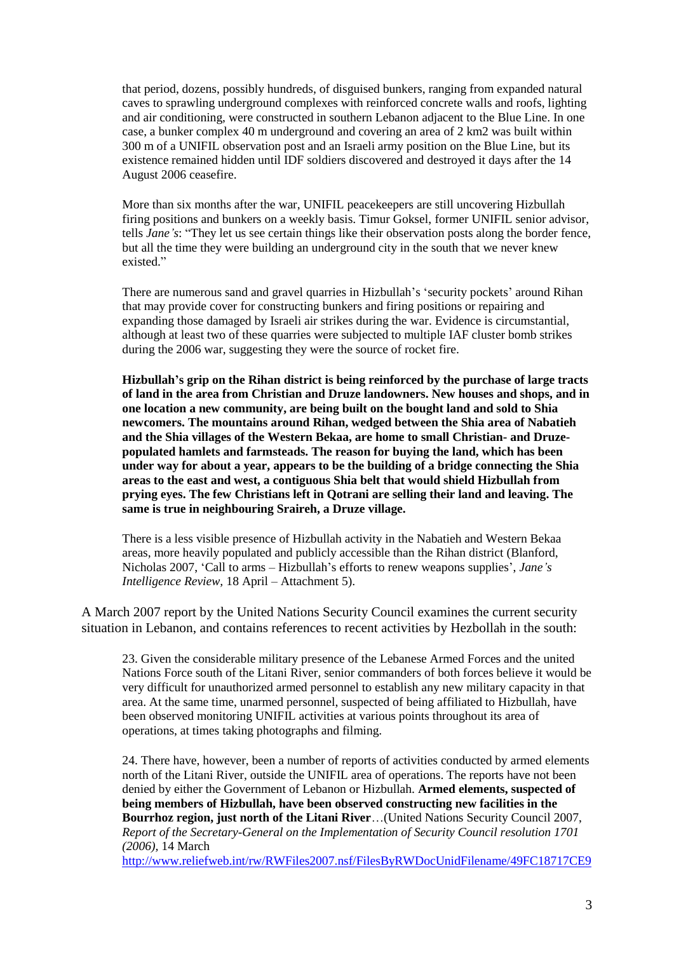that period, dozens, possibly hundreds, of disguised bunkers, ranging from expanded natural caves to sprawling underground complexes with reinforced concrete walls and roofs, lighting and air conditioning, were constructed in southern Lebanon adjacent to the Blue Line. In one case, a bunker complex 40 m underground and covering an area of 2 km2 was built within 300 m of a UNIFIL observation post and an Israeli army position on the Blue Line, but its existence remained hidden until IDF soldiers discovered and destroyed it days after the 14 August 2006 ceasefire.

More than six months after the war, UNIFIL peacekeepers are still uncovering Hizbullah firing positions and bunkers on a weekly basis. Timur Goksel, former UNIFIL senior advisor, tells *Jane's*: "They let us see certain things like their observation posts along the border fence, but all the time they were building an underground city in the south that we never knew existed."

There are numerous sand and gravel quarries in Hizbullah"s "security pockets" around Rihan that may provide cover for constructing bunkers and firing positions or repairing and expanding those damaged by Israeli air strikes during the war. Evidence is circumstantial, although at least two of these quarries were subjected to multiple IAF cluster bomb strikes during the 2006 war, suggesting they were the source of rocket fire.

**Hizbullah's grip on the Rihan district is being reinforced by the purchase of large tracts of land in the area from Christian and Druze landowners. New houses and shops, and in one location a new community, are being built on the bought land and sold to Shia newcomers. The mountains around Rihan, wedged between the Shia area of Nabatieh and the Shia villages of the Western Bekaa, are home to small Christian- and Druzepopulated hamlets and farmsteads. The reason for buying the land, which has been under way for about a year, appears to be the building of a bridge connecting the Shia areas to the east and west, a contiguous Shia belt that would shield Hizbullah from prying eyes. The few Christians left in Qotrani are selling their land and leaving. The same is true in neighbouring Sraireh, a Druze village.** 

There is a less visible presence of Hizbullah activity in the Nabatieh and Western Bekaa areas, more heavily populated and publicly accessible than the Rihan district (Blanford, Nicholas 2007, "Call to arms – Hizbullah"s efforts to renew weapons supplies", *Jane's Intelligence Review,* 18 April – Attachment 5).

A March 2007 report by the United Nations Security Council examines the current security situation in Lebanon, and contains references to recent activities by Hezbollah in the south:

23. Given the considerable military presence of the Lebanese Armed Forces and the united Nations Force south of the Litani River, senior commanders of both forces believe it would be very difficult for unauthorized armed personnel to establish any new military capacity in that area. At the same time, unarmed personnel, suspected of being affiliated to Hizbullah, have been observed monitoring UNIFIL activities at various points throughout its area of operations, at times taking photographs and filming.

24. There have, however, been a number of reports of activities conducted by armed elements north of the Litani River, outside the UNIFIL area of operations. The reports have not been denied by either the Government of Lebanon or Hizbullah. **Armed elements, suspected of being members of Hizbullah, have been observed constructing new facilities in the Bourrhoz region, just north of the Litani River**…(United Nations Security Council 2007, *Report of the Secretary-General on the Implementation of Security Council resolution 1701 (2006),* 14 March

[http://www.reliefweb.int/rw/RWFiles2007.nsf/FilesByRWDocUnidFilename/49FC18717CE9](http://www.reliefweb.int/rw/RWFiles2007.nsf/FilesByRWDocUnidFilename/49FC18717CE9B65EC12572A500808558-Full_Report.pdf/$File/Full_Report.pdf)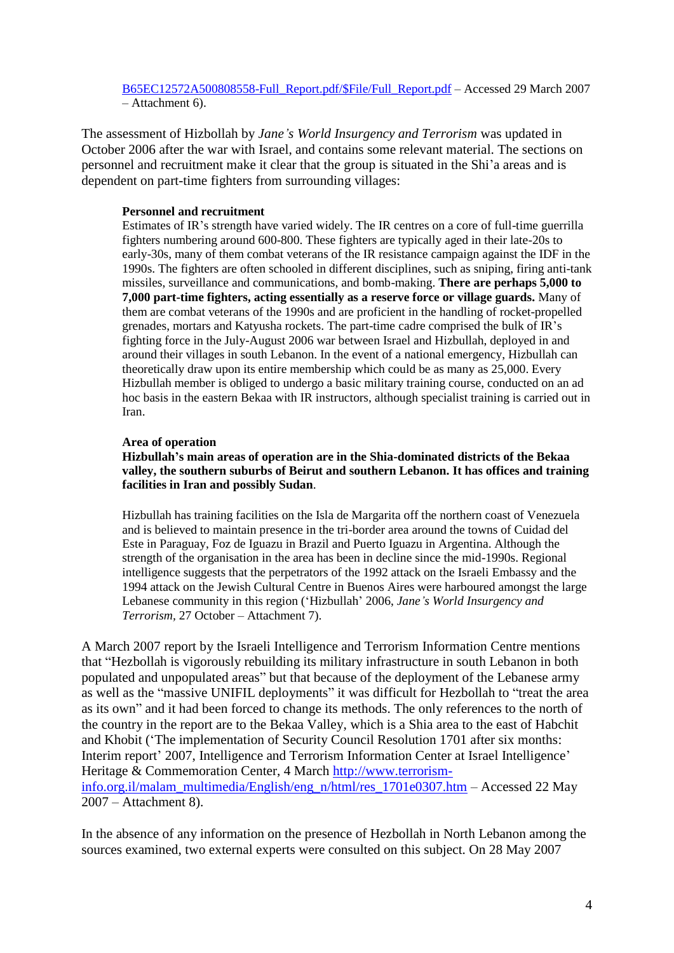[B65EC12572A500808558-Full\\_Report.pdf/\\$File/Full\\_Report.pdf](http://www.reliefweb.int/rw/RWFiles2007.nsf/FilesByRWDocUnidFilename/49FC18717CE9B65EC12572A500808558-Full_Report.pdf/$File/Full_Report.pdf) – Accessed 29 March 2007 – Attachment 6).

The assessment of Hizbollah by *Jane's World Insurgency and Terrorism* was updated in October 2006 after the war with Israel, and contains some relevant material. The sections on personnel and recruitment make it clear that the group is situated in the Shi"a areas and is dependent on part-time fighters from surrounding villages:

### **Personnel and recruitment**

Estimates of IR"s strength have varied widely. The IR centres on a core of full-time guerrilla fighters numbering around 600-800. These fighters are typically aged in their late-20s to early-30s, many of them combat veterans of the IR resistance campaign against the IDF in the 1990s. The fighters are often schooled in different disciplines, such as sniping, firing anti-tank missiles, surveillance and communications, and bomb-making. **There are perhaps 5,000 to 7,000 part-time fighters, acting essentially as a reserve force or village guards.** Many of them are combat veterans of the 1990s and are proficient in the handling of rocket-propelled grenades, mortars and Katyusha rockets. The part-time cadre comprised the bulk of IR"s fighting force in the July-August 2006 war between Israel and Hizbullah, deployed in and around their villages in south Lebanon. In the event of a national emergency, Hizbullah can theoretically draw upon its entire membership which could be as many as 25,000. Every Hizbullah member is obliged to undergo a basic military training course, conducted on an ad hoc basis in the eastern Bekaa with IR instructors, although specialist training is carried out in Iran.

### **Area of operation**

**Hizbullah's main areas of operation are in the Shia-dominated districts of the Bekaa valley, the southern suburbs of Beirut and southern Lebanon. It has offices and training facilities in Iran and possibly Sudan**.

Hizbullah has training facilities on the Isla de Margarita off the northern coast of Venezuela and is believed to maintain presence in the tri-border area around the towns of Cuidad del Este in Paraguay, Foz de Iguazu in Brazil and Puerto Iguazu in Argentina. Although the strength of the organisation in the area has been in decline since the mid-1990s. Regional intelligence suggests that the perpetrators of the 1992 attack on the Israeli Embassy and the 1994 attack on the Jewish Cultural Centre in Buenos Aires were harboured amongst the large Lebanese community in this region ("Hizbullah" 2006, *Jane's World Insurgency and Terrorism,* 27 October – Attachment 7).

A March 2007 report by the Israeli Intelligence and Terrorism Information Centre mentions that "Hezbollah is vigorously rebuilding its military infrastructure in south Lebanon in both populated and unpopulated areas" but that because of the deployment of the Lebanese army as well as the "massive UNIFIL deployments" it was difficult for Hezbollah to "treat the area as its own" and it had been forced to change its methods. The only references to the north of the country in the report are to the Bekaa Valley, which is a Shia area to the east of Habchit and Khobit ("The implementation of Security Council Resolution 1701 after six months: Interim report' 2007, Intelligence and Terrorism Information Center at Israel Intelligence' Heritage & Commemoration Center, 4 March [http://www.terrorism](http://www.terrorism-info.org.il/malam_multimedia/English/eng_n/html/res_1701e0307.htm)[info.org.il/malam\\_multimedia/English/eng\\_n/html/res\\_1701e0307.htm](http://www.terrorism-info.org.il/malam_multimedia/English/eng_n/html/res_1701e0307.htm) – Accessed 22 May 2007 – Attachment 8).

In the absence of any information on the presence of Hezbollah in North Lebanon among the sources examined, two external experts were consulted on this subject. On 28 May 2007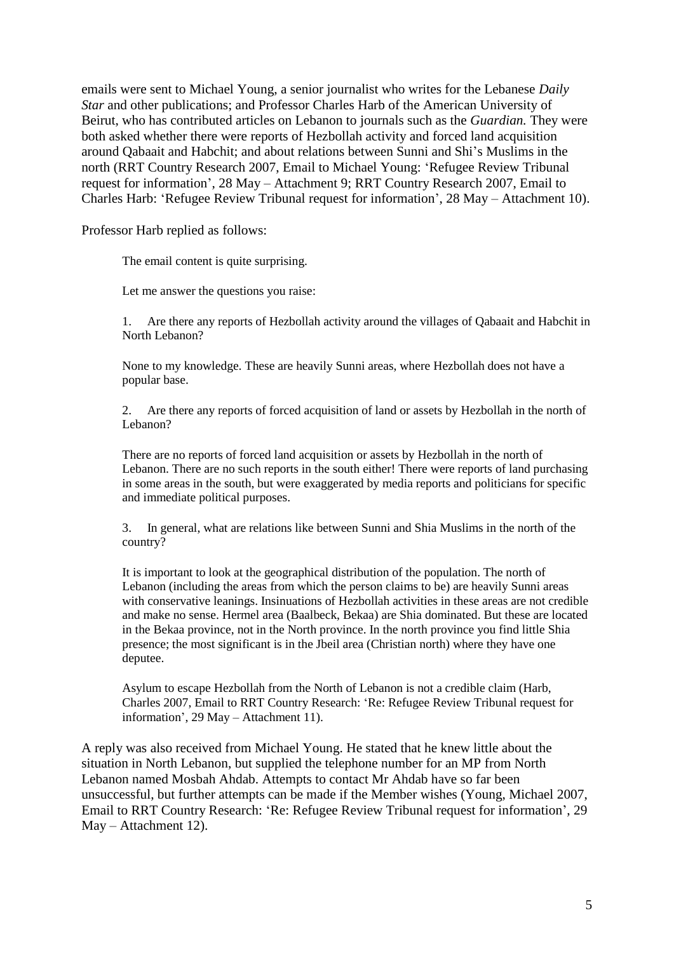emails were sent to Michael Young, a senior journalist who writes for the Lebanese *Daily Star* and other publications; and Professor Charles Harb of the American University of Beirut, who has contributed articles on Lebanon to journals such as the *Guardian.* They were both asked whether there were reports of Hezbollah activity and forced land acquisition around Qabaait and Habchit; and about relations between Sunni and Shi"s Muslims in the north (RRT Country Research 2007, Email to Michael Young: "Refugee Review Tribunal request for information", 28 May – Attachment 9; RRT Country Research 2007, Email to Charles Harb: "Refugee Review Tribunal request for information", 28 May – Attachment 10).

Professor Harb replied as follows:

The email content is quite surprising.

Let me answer the questions you raise:

1. Are there any reports of Hezbollah activity around the villages of Qabaait and Habchit in North Lebanon?

None to my knowledge. These are heavily Sunni areas, where Hezbollah does not have a popular base.

2. Are there any reports of forced acquisition of land or assets by Hezbollah in the north of Lebanon?

There are no reports of forced land acquisition or assets by Hezbollah in the north of Lebanon. There are no such reports in the south either! There were reports of land purchasing in some areas in the south, but were exaggerated by media reports and politicians for specific and immediate political purposes.

3. In general, what are relations like between Sunni and Shia Muslims in the north of the country?

It is important to look at the geographical distribution of the population. The north of Lebanon (including the areas from which the person claims to be) are heavily Sunni areas with conservative leanings. Insinuations of Hezbollah activities in these areas are not credible and make no sense. Hermel area (Baalbeck, Bekaa) are Shia dominated. But these are located in the Bekaa province, not in the North province. In the north province you find little Shia presence; the most significant is in the Jbeil area (Christian north) where they have one deputee.

Asylum to escape Hezbollah from the North of Lebanon is not a credible claim (Harb, Charles 2007, Email to RRT Country Research: "Re: Refugee Review Tribunal request for information", 29 May – Attachment 11).

A reply was also received from Michael Young. He stated that he knew little about the situation in North Lebanon, but supplied the telephone number for an MP from North Lebanon named Mosbah Ahdab. Attempts to contact Mr Ahdab have so far been unsuccessful, but further attempts can be made if the Member wishes (Young, Michael 2007, Email to RRT Country Research: "Re: Refugee Review Tribunal request for information", 29 May – Attachment 12).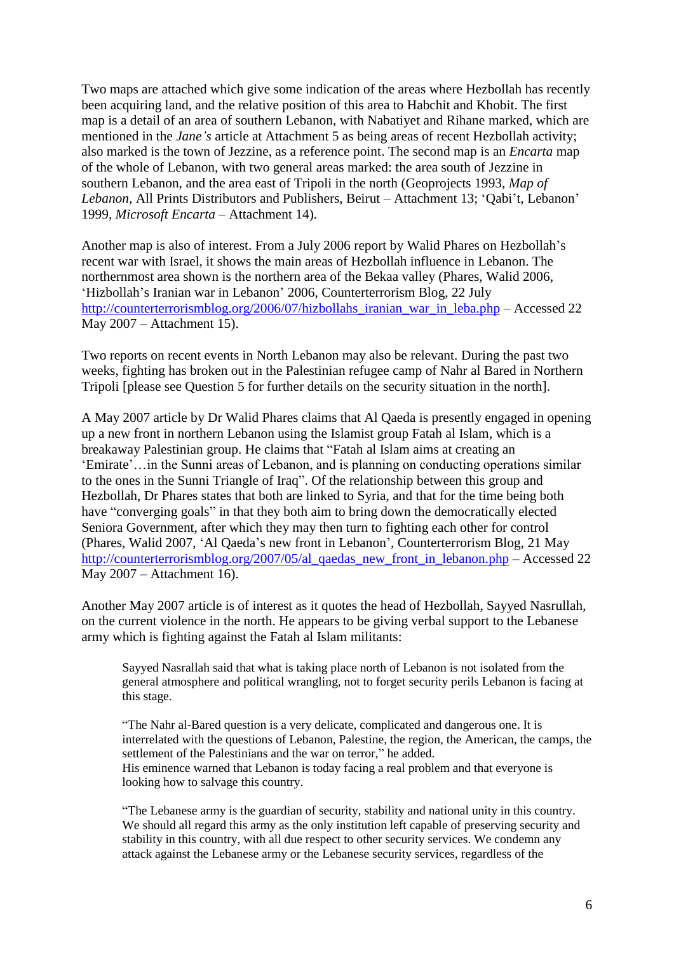Two maps are attached which give some indication of the areas where Hezbollah has recently been acquiring land, and the relative position of this area to Habchit and Khobit. The first map is a detail of an area of southern Lebanon, with Nabatiyet and Rihane marked, which are mentioned in the *Jane's* article at Attachment 5 as being areas of recent Hezbollah activity; also marked is the town of Jezzine, as a reference point. The second map is an *Encarta* map of the whole of Lebanon, with two general areas marked: the area south of Jezzine in southern Lebanon, and the area east of Tripoli in the north (Geoprojects 1993, *Map of Lebanon*, All Prints Distributors and Publishers, Beirut – Attachment 13; 'Qabi't, Lebanon' 1999, *Microsoft Encarta* – Attachment 14).

Another map is also of interest. From a July 2006 report by Walid Phares on Hezbollah"s recent war with Israel, it shows the main areas of Hezbollah influence in Lebanon. The northernmost area shown is the northern area of the Bekaa valley (Phares, Walid 2006, 'Hizbollah's Iranian war in Lebanon' 2006, Counterterrorism Blog, 22 July [http://counterterrorismblog.org/2006/07/hizbollahs\\_iranian\\_war\\_in\\_leba.php](http://counterterrorismblog.org/2006/07/hizbollahs_iranian_war_in_leba.php) – Accessed 22 May 2007 – Attachment 15).

Two reports on recent events in North Lebanon may also be relevant. During the past two weeks, fighting has broken out in the Palestinian refugee camp of Nahr al Bared in Northern Tripoli [please see Question 5 for further details on the security situation in the north].

A May 2007 article by Dr Walid Phares claims that Al Qaeda is presently engaged in opening up a new front in northern Lebanon using the Islamist group Fatah al Islam, which is a breakaway Palestinian group. He claims that "Fatah al Islam aims at creating an 'Emirate'... in the Sunni areas of Lebanon, and is planning on conducting operations similar to the ones in the Sunni Triangle of Iraq". Of the relationship between this group and Hezbollah, Dr Phares states that both are linked to Syria, and that for the time being both have "converging goals" in that they both aim to bring down the democratically elected Seniora Government, after which they may then turn to fighting each other for control (Phares, Walid 2007, "Al Qaeda"s new front in Lebanon", Counterterrorism Blog, 21 May [http://counterterrorismblog.org/2007/05/al\\_qaedas\\_new\\_front\\_in\\_lebanon.php](http://counterterrorismblog.org/2007/05/al_qaedas_new_front_in_lebanon.php) – Accessed 22 May 2007 – Attachment 16).

Another May 2007 article is of interest as it quotes the head of Hezbollah, Sayyed Nasrullah, on the current violence in the north. He appears to be giving verbal support to the Lebanese army which is fighting against the Fatah al Islam militants:

Sayyed Nasrallah said that what is taking place north of Lebanon is not isolated from the general atmosphere and political wrangling, not to forget security perils Lebanon is facing at this stage.

"The Nahr al-Bared question is a very delicate, complicated and dangerous one. It is interrelated with the questions of Lebanon, Palestine, the region, the American, the camps, the settlement of the Palestinians and the war on terror," he added. His eminence warned that Lebanon is today facing a real problem and that everyone is looking how to salvage this country.

"The Lebanese army is the guardian of security, stability and national unity in this country. We should all regard this army as the only institution left capable of preserving security and stability in this country, with all due respect to other security services. We condemn any attack against the Lebanese army or the Lebanese security services, regardless of the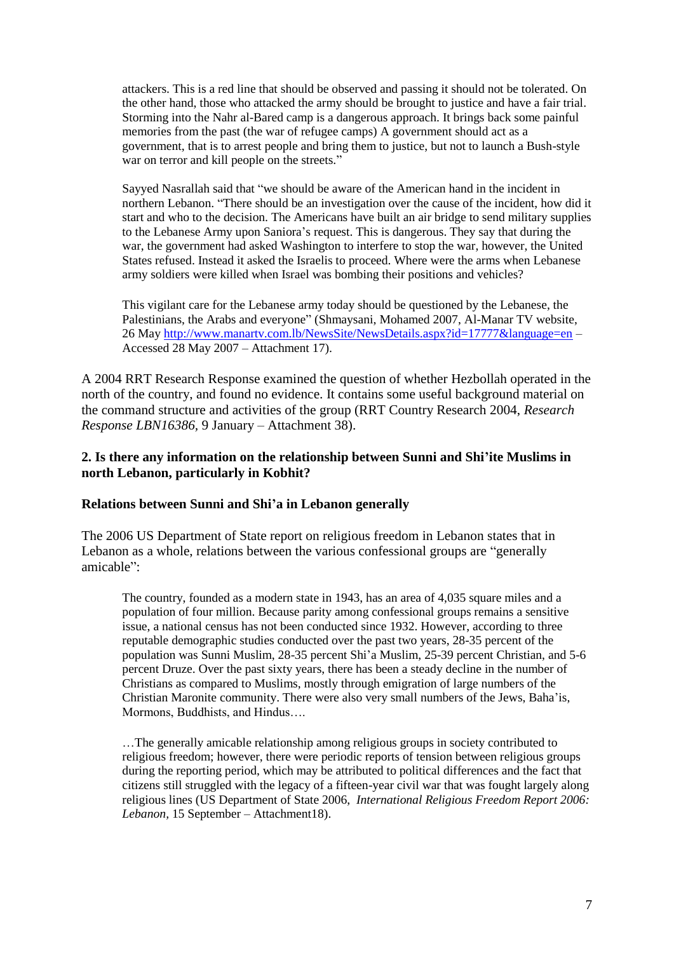attackers. This is a red line that should be observed and passing it should not be tolerated. On the other hand, those who attacked the army should be brought to justice and have a fair trial. Storming into the Nahr al-Bared camp is a dangerous approach. It brings back some painful memories from the past (the war of refugee camps) A government should act as a government, that is to arrest people and bring them to justice, but not to launch a Bush-style war on terror and kill people on the streets."

Sayyed Nasrallah said that "we should be aware of the American hand in the incident in northern Lebanon. "There should be an investigation over the cause of the incident, how did it start and who to the decision. The Americans have built an air bridge to send military supplies to the Lebanese Army upon Saniora"s request. This is dangerous. They say that during the war, the government had asked Washington to interfere to stop the war, however, the United States refused. Instead it asked the Israelis to proceed. Where were the arms when Lebanese army soldiers were killed when Israel was bombing their positions and vehicles?

This vigilant care for the Lebanese army today should be questioned by the Lebanese, the Palestinians, the Arabs and everyone" (Shmaysani, Mohamed 2007, Al-Manar TV website, 26 Ma[y http://www.manartv.com.lb/NewsSite/NewsDetails.aspx?id=17777&language=en](http://www.manartv.com.lb/NewsSite/NewsDetails.aspx?id=17777&language=en) – Accessed 28 May 2007 – Attachment 17).

A 2004 RRT Research Response examined the question of whether Hezbollah operated in the north of the country, and found no evidence. It contains some useful background material on the command structure and activities of the group (RRT Country Research 2004, *Research Response LBN16386,* 9 January – Attachment 38).

# **2. Is there any information on the relationship between Sunni and Shi'ite Muslims in north Lebanon, particularly in Kobhit?**

## **Relations between Sunni and Shi'a in Lebanon generally**

The 2006 US Department of State report on religious freedom in Lebanon states that in Lebanon as a whole, relations between the various confessional groups are "generally amicable":

The country, founded as a modern state in 1943, has an area of 4,035 square miles and a population of four million. Because parity among confessional groups remains a sensitive issue, a national census has not been conducted since 1932. However, according to three reputable demographic studies conducted over the past two years, 28-35 percent of the population was Sunni Muslim, 28-35 percent Shi"a Muslim, 25-39 percent Christian, and 5-6 percent Druze. Over the past sixty years, there has been a steady decline in the number of Christians as compared to Muslims, mostly through emigration of large numbers of the Christian Maronite community. There were also very small numbers of the Jews, Baha"is, Mormons, Buddhists, and Hindus….

…The generally amicable relationship among religious groups in society contributed to religious freedom; however, there were periodic reports of tension between religious groups during the reporting period, which may be attributed to political differences and the fact that citizens still struggled with the legacy of a fifteen-year civil war that was fought largely along religious lines (US Department of State 2006, *International Religious Freedom Report 2006: Lebanon,* 15 September – Attachment18).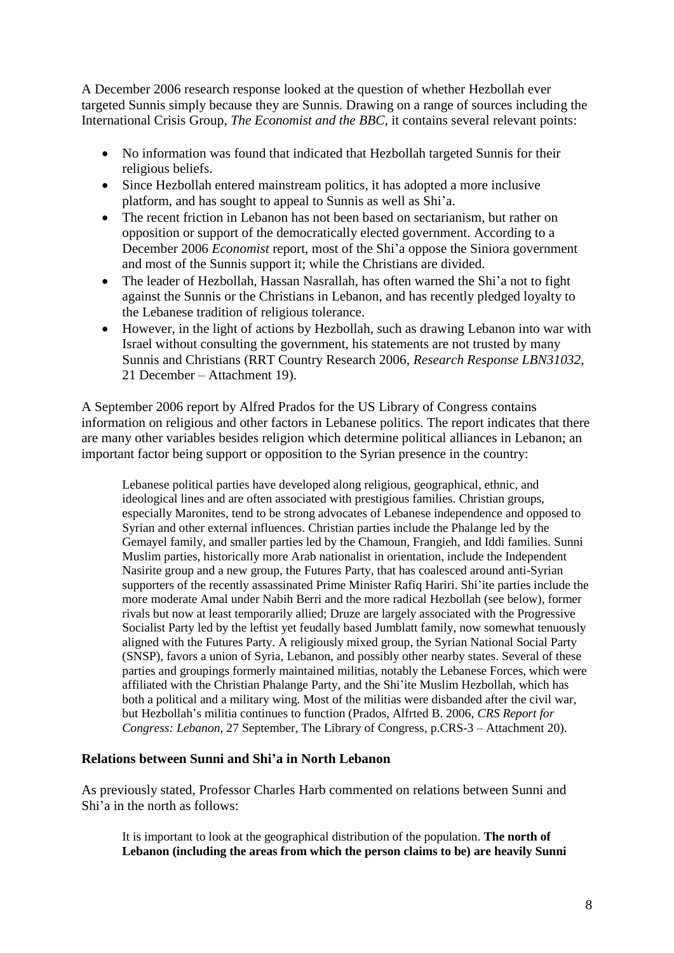A December 2006 research response looked at the question of whether Hezbollah ever targeted Sunnis simply because they are Sunnis. Drawing on a range of sources including the International Crisis Group, *The Economist and the BBC,* it contains several relevant points:

- No information was found that indicated that Hezbollah targeted Sunnis for their religious beliefs.
- Since Hezbollah entered mainstream politics, it has adopted a more inclusive platform, and has sought to appeal to Sunnis as well as Shi"a.
- The recent friction in Lebanon has not been based on sectarianism, but rather on opposition or support of the democratically elected government. According to a December 2006 *Economist* report, most of the Shi"a oppose the Siniora government and most of the Sunnis support it; while the Christians are divided.
- The leader of Hezbollah, Hassan Nasrallah, has often warned the Shi'a not to fight against the Sunnis or the Christians in Lebanon, and has recently pledged loyalty to the Lebanese tradition of religious tolerance.
- However, in the light of actions by Hezbollah, such as drawing Lebanon into war with Israel without consulting the government, his statements are not trusted by many Sunnis and Christians (RRT Country Research 2006, *Research Response LBN31032,*  21 December – Attachment 19).

A September 2006 report by Alfred Prados for the US Library of Congress contains information on religious and other factors in Lebanese politics. The report indicates that there are many other variables besides religion which determine political alliances in Lebanon; an important factor being support or opposition to the Syrian presence in the country:

Lebanese political parties have developed along religious, geographical, ethnic, and ideological lines and are often associated with prestigious families. Christian groups, especially Maronites, tend to be strong advocates of Lebanese independence and opposed to Syrian and other external influences. Christian parties include the Phalange led by the Gemayel family, and smaller parties led by the Chamoun, Frangieh, and Iddi families. Sunni Muslim parties, historically more Arab nationalist in orientation, include the Independent Nasirite group and a new group, the Futures Party, that has coalesced around anti-Syrian supporters of the recently assassinated Prime Minister Rafiq Hariri. Shi"ite parties include the more moderate Amal under Nabih Berri and the more radical Hezbollah (see below), former rivals but now at least temporarily allied; Druze are largely associated with the Progressive Socialist Party led by the leftist yet feudally based Jumblatt family, now somewhat tenuously aligned with the Futures Party. A religiously mixed group, the Syrian National Social Party (SNSP), favors a union of Syria, Lebanon, and possibly other nearby states. Several of these parties and groupings formerly maintained militias, notably the Lebanese Forces, which were affiliated with the Christian Phalange Party, and the Shi"ite Muslim Hezbollah, which has both a political and a military wing. Most of the militias were disbanded after the civil war, but Hezbollah"s militia continues to function (Prados, Alfrted B. 2006, *CRS Report for Congress: Lebanon,* 27 September, The Library of Congress, p.CRS-3 – Attachment 20).

## **Relations between Sunni and Shi'a in North Lebanon**

As previously stated, Professor Charles Harb commented on relations between Sunni and Shi"a in the north as follows:

It is important to look at the geographical distribution of the population. **The north of Lebanon (including the areas from which the person claims to be) are heavily Sunni**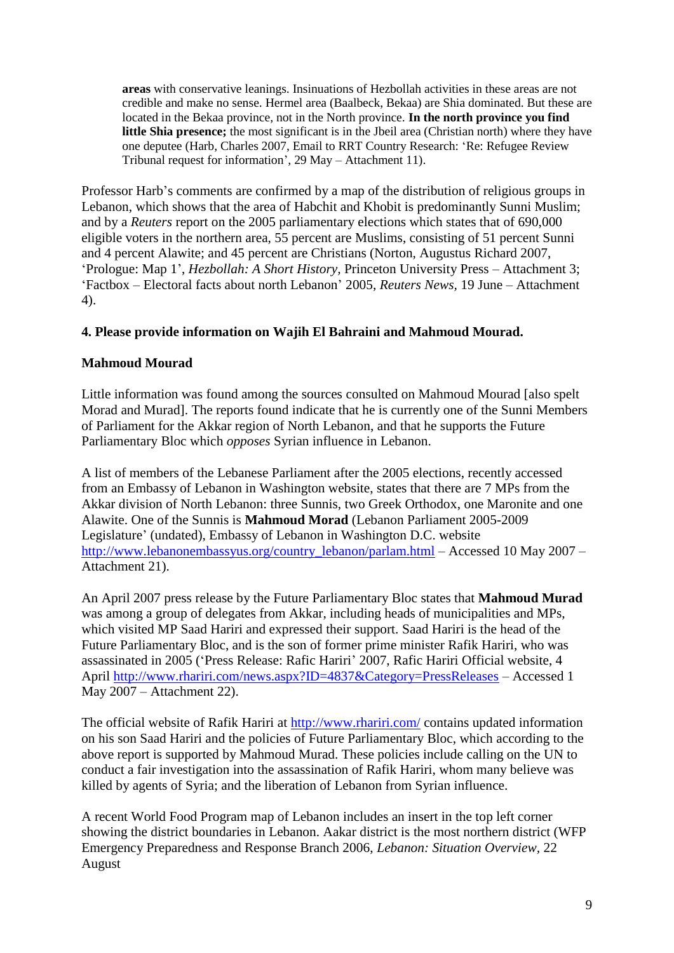**areas** with conservative leanings. Insinuations of Hezbollah activities in these areas are not credible and make no sense. Hermel area (Baalbeck, Bekaa) are Shia dominated. But these are located in the Bekaa province, not in the North province. **In the north province you find**  little Shia presence; the most significant is in the Jbeil area (Christian north) where they have one deputee (Harb, Charles 2007, Email to RRT Country Research: "Re: Refugee Review Tribunal request for information", 29 May – Attachment 11).

Professor Harb"s comments are confirmed by a map of the distribution of religious groups in Lebanon, which shows that the area of Habchit and Khobit is predominantly Sunni Muslim; and by a *Reuters* report on the 2005 parliamentary elections which states that of 690,000 eligible voters in the northern area, 55 percent are Muslims, consisting of 51 percent Sunni and 4 percent Alawite; and 45 percent are Christians (Norton, Augustus Richard 2007, "Prologue: Map 1", *Hezbollah: A Short History,* Princeton University Press – Attachment 3; "Factbox – Electoral facts about north Lebanon" 2005, *Reuters News,* 19 June – Attachment 4).

# **4. Please provide information on Wajih El Bahraini and Mahmoud Mourad.**

# **Mahmoud Mourad**

Little information was found among the sources consulted on Mahmoud Mourad [also spelt Morad and Murad]. The reports found indicate that he is currently one of the Sunni Members of Parliament for the Akkar region of North Lebanon, and that he supports the Future Parliamentary Bloc which *opposes* Syrian influence in Lebanon.

A list of members of the Lebanese Parliament after the 2005 elections, recently accessed from an Embassy of Lebanon in Washington website, states that there are 7 MPs from the Akkar division of North Lebanon: three Sunnis, two Greek Orthodox, one Maronite and one Alawite. One of the Sunnis is **Mahmoud Morad** (Lebanon Parliament 2005-2009 Legislature' (undated), Embassy of Lebanon in Washington D.C. website [http://www.lebanonembassyus.org/country\\_lebanon/parlam.html](http://www.lebanonembassyus.org/country_lebanon/parlam.html) – Accessed 10 May 2007 – Attachment 21).

An April 2007 press release by the Future Parliamentary Bloc states that **Mahmoud Murad** was among a group of delegates from Akkar, including heads of municipalities and MPs, which visited MP Saad Hariri and expressed their support. Saad Hariri is the head of the Future Parliamentary Bloc, and is the son of former prime minister Rafik Hariri, who was assassinated in 2005 ('Press Release: Rafic Hariri' 2007, Rafic Hariri Official website, 4 April<http://www.rhariri.com/news.aspx?ID=4837&Category=PressReleases> – Accessed 1 May 2007 – Attachment 22).

The official website of Rafik Hariri at<http://www.rhariri.com/> contains updated information on his son Saad Hariri and the policies of Future Parliamentary Bloc, which according to the above report is supported by Mahmoud Murad. These policies include calling on the UN to conduct a fair investigation into the assassination of Rafik Hariri, whom many believe was killed by agents of Syria; and the liberation of Lebanon from Syrian influence.

A recent World Food Program map of Lebanon includes an insert in the top left corner showing the district boundaries in Lebanon. Aakar district is the most northern district (WFP Emergency Preparedness and Response Branch 2006, *Lebanon: Situation Overview,* 22 August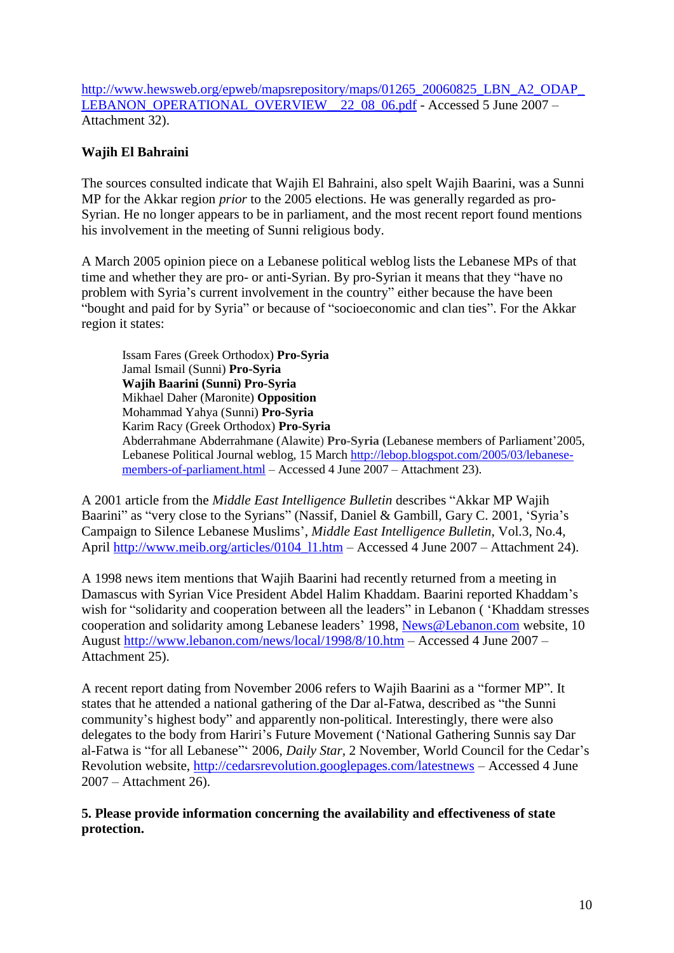[http://www.hewsweb.org/epweb/mapsrepository/maps/01265\\_20060825\\_LBN\\_A2\\_ODAP\\_](http://www.hewsweb.org/epweb/mapsrepository/maps/01265_20060825_LBN_A2_ODAP_LEBANON_OPERATIONAL_OVERVIEW__22_08_06.pdf) LEBANON\_OPERATIONAL\_OVERVIEW\_22\_08\_06.pdf - Accessed 5 June 2007 – Attachment 32).

# **Wajih El Bahraini**

The sources consulted indicate that Wajih El Bahraini, also spelt Wajih Baarini, was a Sunni MP for the Akkar region *prior* to the 2005 elections. He was generally regarded as pro-Syrian. He no longer appears to be in parliament, and the most recent report found mentions his involvement in the meeting of Sunni religious body.

A March 2005 opinion piece on a Lebanese political weblog lists the Lebanese MPs of that time and whether they are pro- or anti-Syrian. By pro-Syrian it means that they "have no problem with Syria"s current involvement in the country" either because the have been "bought and paid for by Syria" or because of "socioeconomic and clan ties". For the Akkar region it states:

Issam Fares (Greek Orthodox) **Pro-Syria** Jamal Ismail (Sunni) **Pro-Syria Wajih Baarini (Sunni) Pro-Syria** Mikhael Daher (Maronite) **Opposition** Mohammad Yahya (Sunni) **Pro-Syria** Karim Racy (Greek Orthodox) **Pro-Syria** Abderrahmane Abderrahmane (Alawite) **Pro-Syria (**Lebanese members of Parliament"2005, Lebanese Political Journal weblog, 15 March [http://lebop.blogspot.com/2005/03/lebanese](http://lebop.blogspot.com/2005/03/lebanese-members-of-parliament.html)[members-of-parliament.html](http://lebop.blogspot.com/2005/03/lebanese-members-of-parliament.html) – Accessed 4 June 2007 – Attachment 23).

A 2001 article from the *Middle East Intelligence Bulletin* describes "Akkar MP Wajih Baarini" as "very close to the Syrians" (Nassif, Daniel & Gambill, Gary C. 2001, 'Syria's Campaign to Silence Lebanese Muslims", *Middle East Intelligence Bulletin,* Vol.3, No.4, April [http://www.meib.org/articles/0104\\_l1.htm](http://www.meib.org/articles/0104_l1.htm) – Accessed 4 June 2007 – Attachment 24).

A 1998 news item mentions that Wajih Baarini had recently returned from a meeting in Damascus with Syrian Vice President Abdel Halim Khaddam. Baarini reported Khaddam"s wish for "solidarity and cooperation between all the leaders" in Lebanon ( "Khaddam stresses cooperation and solidarity among Lebanese leaders" 1998, [News@Lebanon.com](mailto:News@Lebanon.com) website, 10 August<http://www.lebanon.com/news/local/1998/8/10.htm> – Accessed 4 June 2007 – Attachment 25).

A recent report dating from November 2006 refers to Wajih Baarini as a "former MP". It states that he attended a national gathering of the Dar al-Fatwa, described as "the Sunni community"s highest body" and apparently non-political. Interestingly, there were also delegates to the body from Hariri's Future Movement ('National Gathering Sunnis say Dar al-Fatwa is "for all Lebanese"" 2006, *Daily Star,* 2 November, World Council for the Cedar"s Revolution website,<http://cedarsrevolution.googlepages.com/latestnews> – Accessed 4 June 2007 – Attachment 26).

**5. Please provide information concerning the availability and effectiveness of state protection.**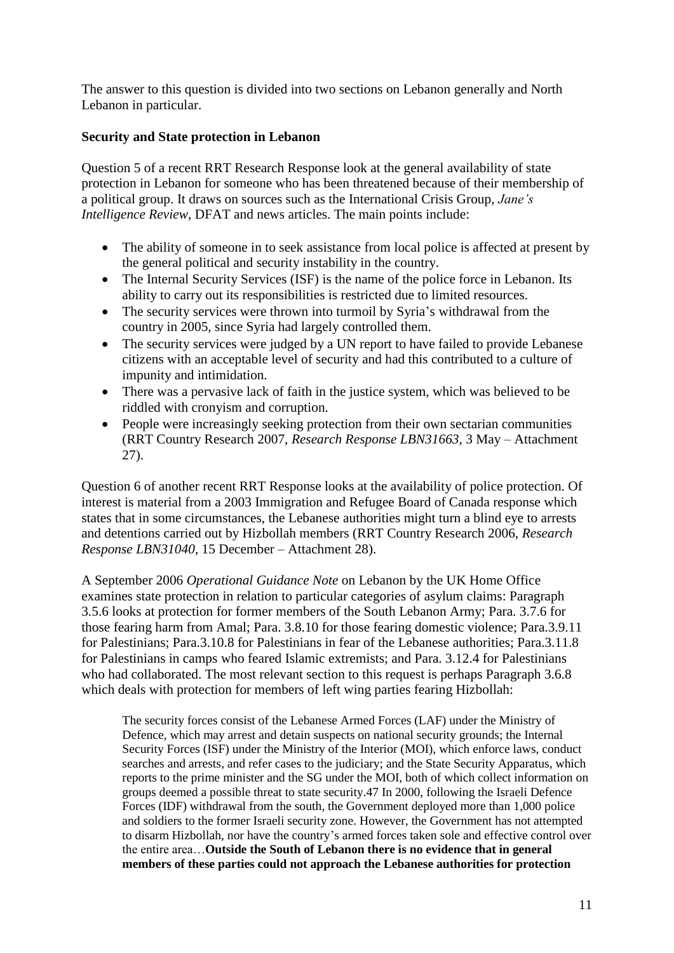The answer to this question is divided into two sections on Lebanon generally and North Lebanon in particular.

# **Security and State protection in Lebanon**

Question 5 of a recent RRT Research Response look at the general availability of state protection in Lebanon for someone who has been threatened because of their membership of a political group. It draws on sources such as the International Crisis Group, *Jane's Intelligence Review,* DFAT and news articles. The main points include:

- The ability of someone in to seek assistance from local police is affected at present by the general political and security instability in the country.
- The Internal Security Services (ISF) is the name of the police force in Lebanon. Its ability to carry out its responsibilities is restricted due to limited resources.
- The security services were thrown into turmoil by Syria's withdrawal from the country in 2005, since Syria had largely controlled them.
- The security services were judged by a UN report to have failed to provide Lebanese citizens with an acceptable level of security and had this contributed to a culture of impunity and intimidation.
- There was a pervasive lack of faith in the justice system, which was believed to be riddled with cronyism and corruption.
- People were increasingly seeking protection from their own sectarian communities (RRT Country Research 2007, *Research Response LBN31663,* 3 May – Attachment 27).

Question 6 of another recent RRT Response looks at the availability of police protection. Of interest is material from a 2003 Immigration and Refugee Board of Canada response which states that in some circumstances, the Lebanese authorities might turn a blind eye to arrests and detentions carried out by Hizbollah members (RRT Country Research 2006, *Research Response LBN31040,* 15 December – Attachment 28).

A September 2006 *Operational Guidance Note* on Lebanon by the UK Home Office examines state protection in relation to particular categories of asylum claims: Paragraph 3.5.6 looks at protection for former members of the South Lebanon Army; Para. 3.7.6 for those fearing harm from Amal; Para. 3.8.10 for those fearing domestic violence; Para.3.9.11 for Palestinians; Para.3.10.8 for Palestinians in fear of the Lebanese authorities; Para.3.11.8 for Palestinians in camps who feared Islamic extremists; and Para. 3.12.4 for Palestinians who had collaborated. The most relevant section to this request is perhaps Paragraph 3.6.8 which deals with protection for members of left wing parties fearing Hizbollah:

The security forces consist of the Lebanese Armed Forces (LAF) under the Ministry of Defence, which may arrest and detain suspects on national security grounds; the Internal Security Forces (ISF) under the Ministry of the Interior (MOI), which enforce laws, conduct searches and arrests, and refer cases to the judiciary; and the State Security Apparatus, which reports to the prime minister and the SG under the MOI, both of which collect information on groups deemed a possible threat to state security.47 In 2000, following the Israeli Defence Forces (IDF) withdrawal from the south, the Government deployed more than 1,000 police and soldiers to the former Israeli security zone. However, the Government has not attempted to disarm Hizbollah, nor have the country"s armed forces taken sole and effective control over the entire area…**Outside the South of Lebanon there is no evidence that in general members of these parties could not approach the Lebanese authorities for protection**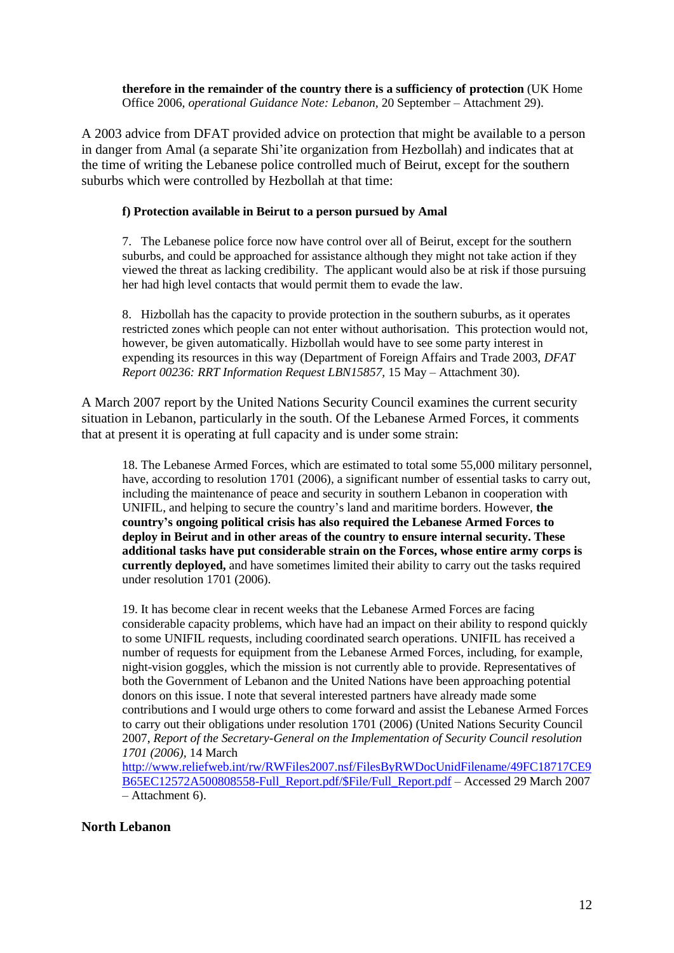**therefore in the remainder of the country there is a sufficiency of protection** (UK Home Office 2006, *operational Guidance Note: Lebanon,* 20 September – Attachment 29).

A 2003 advice from DFAT provided advice on protection that might be available to a person in danger from Amal (a separate Shi"ite organization from Hezbollah) and indicates that at the time of writing the Lebanese police controlled much of Beirut, except for the southern suburbs which were controlled by Hezbollah at that time:

### **f) Protection available in Beirut to a person pursued by Amal**

7. The Lebanese police force now have control over all of Beirut, except for the southern suburbs, and could be approached for assistance although they might not take action if they viewed the threat as lacking credibility. The applicant would also be at risk if those pursuing her had high level contacts that would permit them to evade the law.

8. Hizbollah has the capacity to provide protection in the southern suburbs, as it operates restricted zones which people can not enter without authorisation. This protection would not, however, be given automatically. Hizbollah would have to see some party interest in expending its resources in this way (Department of Foreign Affairs and Trade 2003, *DFAT Report 00236: RRT Information Request LBN15857,* 15 May – Attachment 30).

A March 2007 report by the United Nations Security Council examines the current security situation in Lebanon, particularly in the south. Of the Lebanese Armed Forces, it comments that at present it is operating at full capacity and is under some strain:

18. The Lebanese Armed Forces, which are estimated to total some 55,000 military personnel, have, according to resolution 1701 (2006), a significant number of essential tasks to carry out, including the maintenance of peace and security in southern Lebanon in cooperation with UNIFIL, and helping to secure the country"s land and maritime borders. However, **the country's ongoing political crisis has also required the Lebanese Armed Forces to deploy in Beirut and in other areas of the country to ensure internal security. These additional tasks have put considerable strain on the Forces, whose entire army corps is currently deployed,** and have sometimes limited their ability to carry out the tasks required under resolution 1701 (2006).

19. It has become clear in recent weeks that the Lebanese Armed Forces are facing considerable capacity problems, which have had an impact on their ability to respond quickly to some UNIFIL requests, including coordinated search operations. UNIFIL has received a number of requests for equipment from the Lebanese Armed Forces, including, for example, night-vision goggles, which the mission is not currently able to provide. Representatives of both the Government of Lebanon and the United Nations have been approaching potential donors on this issue. I note that several interested partners have already made some contributions and I would urge others to come forward and assist the Lebanese Armed Forces to carry out their obligations under resolution 1701 (2006) (United Nations Security Council 2007, *Report of the Secretary-General on the Implementation of Security Council resolution 1701 (2006),* 14 March

[http://www.reliefweb.int/rw/RWFiles2007.nsf/FilesByRWDocUnidFilename/49FC18717CE9](http://www.reliefweb.int/rw/RWFiles2007.nsf/FilesByRWDocUnidFilename/49FC18717CE9B65EC12572A500808558-Full_Report.pdf/$File/Full_Report.pdf) [B65EC12572A500808558-Full\\_Report.pdf/\\$File/Full\\_Report.pdf](http://www.reliefweb.int/rw/RWFiles2007.nsf/FilesByRWDocUnidFilename/49FC18717CE9B65EC12572A500808558-Full_Report.pdf/$File/Full_Report.pdf) – Accessed 29 March 2007 – Attachment 6).

## **North Lebanon**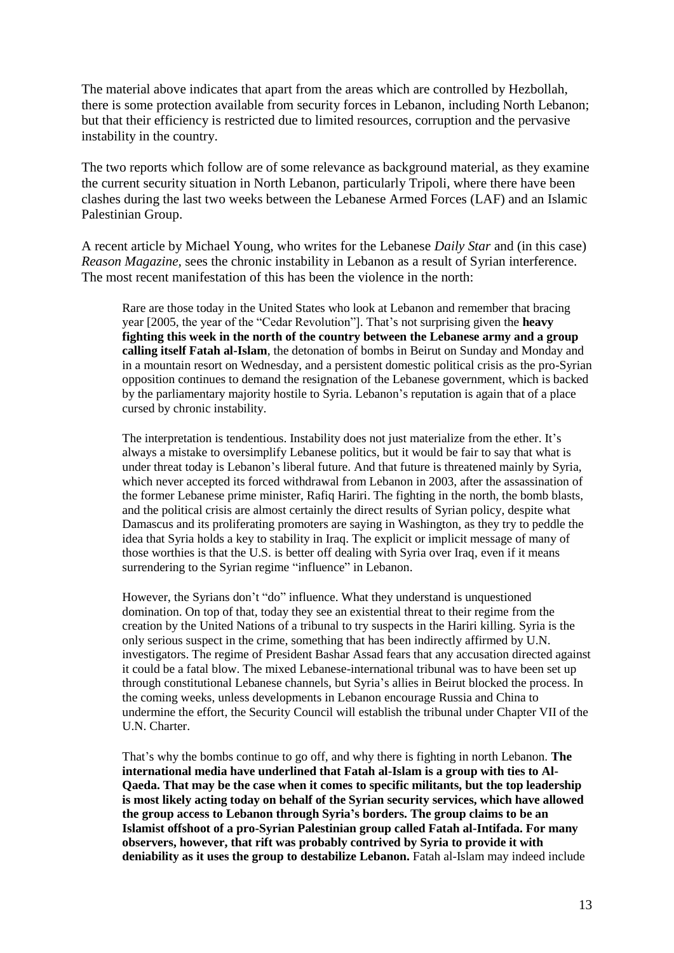The material above indicates that apart from the areas which are controlled by Hezbollah, there is some protection available from security forces in Lebanon, including North Lebanon; but that their efficiency is restricted due to limited resources, corruption and the pervasive instability in the country.

The two reports which follow are of some relevance as background material, as they examine the current security situation in North Lebanon, particularly Tripoli, where there have been clashes during the last two weeks between the Lebanese Armed Forces (LAF) and an Islamic Palestinian Group.

A recent article by Michael Young, who writes for the Lebanese *Daily Star* and (in this case) *Reason Magazine,* sees the chronic instability in Lebanon as a result of Syrian interference. The most recent manifestation of this has been the violence in the north:

Rare are those today in the United States who look at Lebanon and remember that bracing year [2005, the year of the "Cedar Revolution"]. That's not surprising given the **heavy fighting this week in the north of the country between the Lebanese army and a group calling itself Fatah al-Islam**, the detonation of bombs in Beirut on Sunday and Monday and in a mountain resort on Wednesday, and a persistent domestic political crisis as the pro-Syrian opposition continues to demand the resignation of the Lebanese government, which is backed by the parliamentary majority hostile to Syria. Lebanon"s reputation is again that of a place cursed by chronic instability.

The interpretation is tendentious. Instability does not just materialize from the ether. It's always a mistake to oversimplify Lebanese politics, but it would be fair to say that what is under threat today is Lebanon"s liberal future. And that future is threatened mainly by Syria, which never accepted its forced withdrawal from Lebanon in 2003, after the assassination of the former Lebanese prime minister, Rafiq Hariri. The fighting in the north, the bomb blasts, and the political crisis are almost certainly the direct results of Syrian policy, despite what Damascus and its proliferating promoters are saying in Washington, as they try to peddle the idea that Syria holds a key to stability in Iraq. The explicit or implicit message of many of those worthies is that the U.S. is better off dealing with Syria over Iraq, even if it means surrendering to the Syrian regime "influence" in Lebanon.

However, the Syrians don't "do" influence. What they understand is unquestioned domination. On top of that, today they see an existential threat to their regime from the creation by the United Nations of a tribunal to try suspects in the Hariri killing. Syria is the only serious suspect in the crime, something that has been indirectly affirmed by U.N. investigators. The regime of President Bashar Assad fears that any accusation directed against it could be a fatal blow. The mixed Lebanese-international tribunal was to have been set up through constitutional Lebanese channels, but Syria"s allies in Beirut blocked the process. In the coming weeks, unless developments in Lebanon encourage Russia and China to undermine the effort, the Security Council will establish the tribunal under Chapter VII of the U.N. Charter.

That"s why the bombs continue to go off, and why there is fighting in north Lebanon. **The international media have underlined that Fatah al-Islam is a group with ties to Al-Qaeda. That may be the case when it comes to specific militants, but the top leadership is most likely acting today on behalf of the Syrian security services, which have allowed the group access to Lebanon through Syria's borders. The group claims to be an Islamist offshoot of a pro-Syrian Palestinian group called Fatah al-Intifada. For many observers, however, that rift was probably contrived by Syria to provide it with deniability as it uses the group to destabilize Lebanon.** Fatah al-Islam may indeed include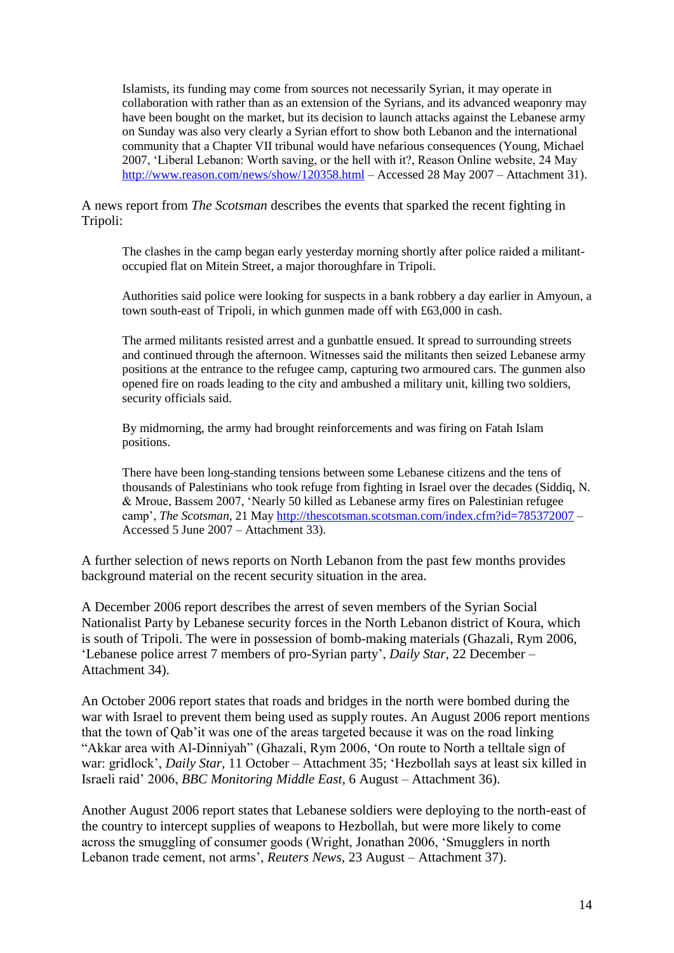Islamists, its funding may come from sources not necessarily Syrian, it may operate in collaboration with rather than as an extension of the Syrians, and its advanced weaponry may have been bought on the market, but its decision to launch attacks against the Lebanese army on Sunday was also very clearly a Syrian effort to show both Lebanon and the international community that a Chapter VII tribunal would have nefarious consequences (Young, Michael 2007, "Liberal Lebanon: Worth saving, or the hell with it?, Reason Online website, 24 May <http://www.reason.com/news/show/120358.html> – Accessed 28 May 2007 – Attachment 31).

## A news report from *The Scotsman* describes the events that sparked the recent fighting in Tripoli:

The clashes in the camp began early yesterday morning shortly after police raided a militantoccupied flat on Mitein Street, a major thoroughfare in Tripoli.

Authorities said police were looking for suspects in a bank robbery a day earlier in Amyoun, a town south-east of Tripoli, in which gunmen made off with £63,000 in cash.

The armed militants resisted arrest and a gunbattle ensued. It spread to surrounding streets and continued through the afternoon. Witnesses said the militants then seized Lebanese army positions at the entrance to the refugee camp, capturing two armoured cars. The gunmen also opened fire on roads leading to the city and ambushed a military unit, killing two soldiers, security officials said.

By midmorning, the army had brought reinforcements and was firing on Fatah Islam positions.

There have been long-standing tensions between some Lebanese citizens and the tens of thousands of Palestinians who took refuge from fighting in Israel over the decades (Siddiq, N. & Mroue, Bassem 2007, "Nearly 50 killed as Lebanese army fires on Palestinian refugee camp', *The Scotsman*, 21 May <http://thescotsman.scotsman.com/index.cfm?id=785372007> – Accessed 5 June 2007 – Attachment 33).

A further selection of news reports on North Lebanon from the past few months provides background material on the recent security situation in the area.

A December 2006 report describes the arrest of seven members of the Syrian Social Nationalist Party by Lebanese security forces in the North Lebanon district of Koura, which is south of Tripoli. The were in possession of bomb-making materials (Ghazali, Rym 2006, "Lebanese police arrest 7 members of pro-Syrian party", *Daily Star,* 22 December – Attachment 34).

An October 2006 report states that roads and bridges in the north were bombed during the war with Israel to prevent them being used as supply routes. An August 2006 report mentions that the town of Qab"it was one of the areas targeted because it was on the road linking "Akkar area with Al-Dinniyah" (Ghazali, Rym 2006, "On route to North a telltale sign of war: gridlock', *Daily Star*, 11 October – Attachment 35; 'Hezbollah says at least six killed in Israeli raid" 2006, *BBC Monitoring Middle East,* 6 August – Attachment 36).

Another August 2006 report states that Lebanese soldiers were deploying to the north-east of the country to intercept supplies of weapons to Hezbollah, but were more likely to come across the smuggling of consumer goods (Wright, Jonathan 2006, "Smugglers in north Lebanon trade cement, not arms', *Reuters News*, 23 August – Attachment 37).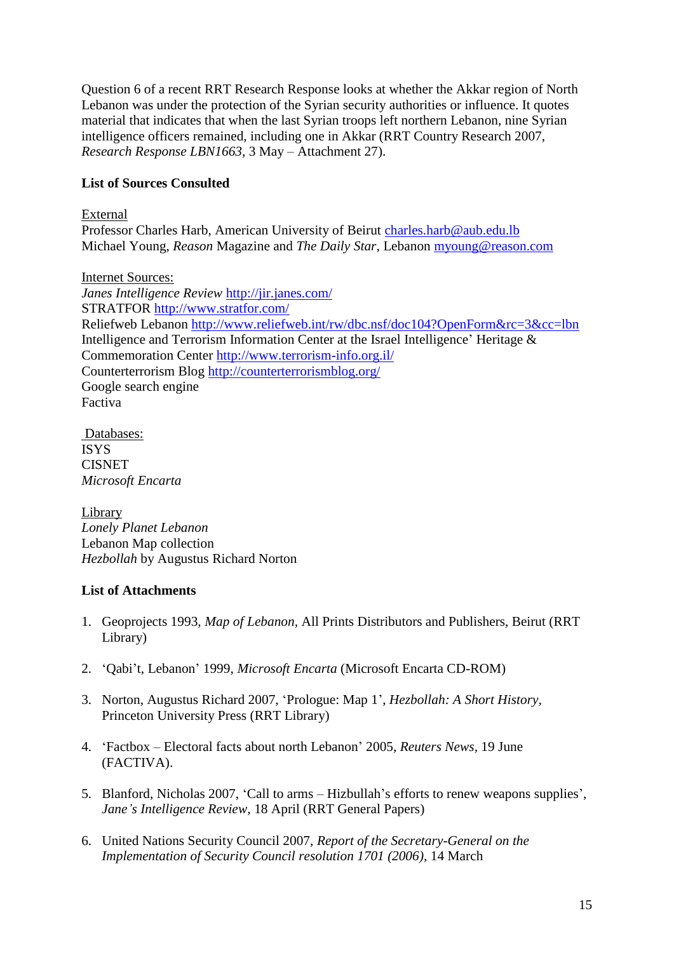Question 6 of a recent RRT Research Response looks at whether the Akkar region of North Lebanon was under the protection of the Syrian security authorities or influence. It quotes material that indicates that when the last Syrian troops left northern Lebanon, nine Syrian intelligence officers remained, including one in Akkar (RRT Country Research 2007, *Research Response LBN1663,* 3 May – Attachment 27).

# **List of Sources Consulted**

## External

Professor Charles Harb, American University of Beirut [charles.harb@aub.edu.lb](mailto:charles.harb@aub.edu.lb) Michael Young, *Reason* Magazine and *The Daily Star*, Lebanon [myoung@reason.com](mailto:myoung@reason.com)

Internet Sources: *Janes Intelligence Review* <http://jir.janes.com/> STRATFOR<http://www.stratfor.com/> Reliefweb Lebanon<http://www.reliefweb.int/rw/dbc.nsf/doc104?OpenForm&rc=3&cc=lbn> Intelligence and Terrorism Information Center at the Israel Intelligence" Heritage & Commemoration Center <http://www.terrorism-info.org.il/> Counterterrorism Blog<http://counterterrorismblog.org/> Google search engine Factiva

Databases: ISYS CISNET *Microsoft Encarta*

Library *Lonely Planet Lebanon* Lebanon Map collection *Hezbollah* by Augustus Richard Norton

# **List of Attachments**

- 1. Geoprojects 1993, *Map of Lebanon,* All Prints Distributors and Publishers, Beirut (RRT Library)
- 2. "Qabi"t, Lebanon" 1999, *Microsoft Encarta* (Microsoft Encarta CD-ROM)
- 3. Norton, Augustus Richard 2007, "Prologue: Map 1", *Hezbollah: A Short History,*  Princeton University Press (RRT Library)
- 4. "Factbox Electoral facts about north Lebanon" 2005, *Reuters News,* 19 June (FACTIVA).
- 5. Blanford, Nicholas 2007, "Call to arms Hizbullah"s efforts to renew weapons supplies", *Jane's Intelligence Review,* 18 April (RRT General Papers)
- 6. United Nations Security Council 2007, *Report of the Secretary-General on the Implementation of Security Council resolution 1701 (2006),* 14 March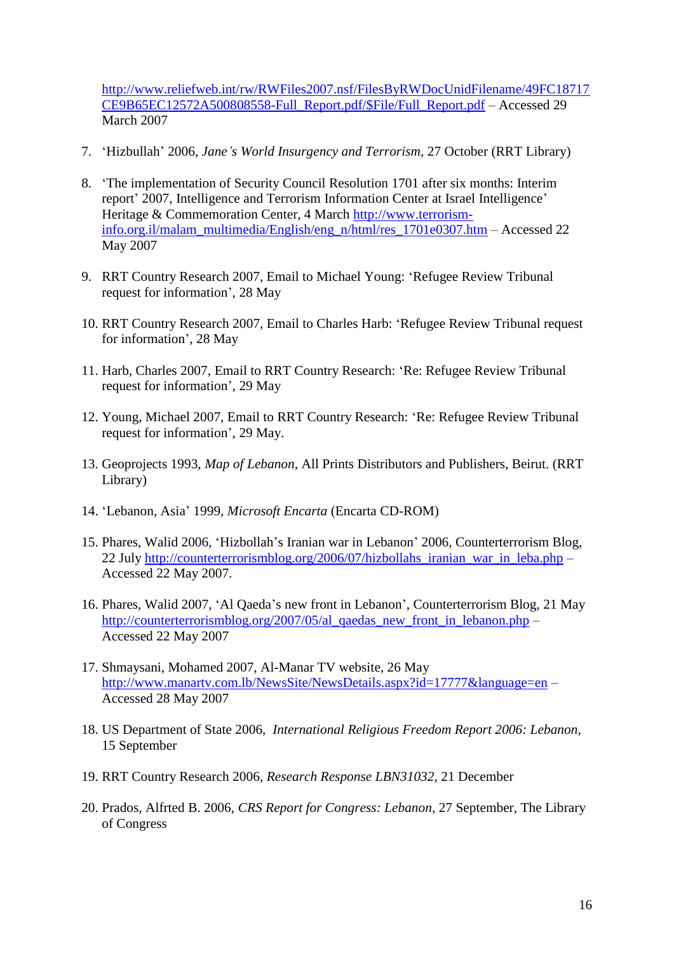[http://www.reliefweb.int/rw/RWFiles2007.nsf/FilesByRWDocUnidFilename/49FC18717](http://www.reliefweb.int/rw/RWFiles2007.nsf/FilesByRWDocUnidFilename/49FC18717CE9B65EC12572A500808558-Full_Report.pdf/$File/Full_Report.pdf) [CE9B65EC12572A500808558-Full\\_Report.pdf/\\$File/Full\\_Report.pdf](http://www.reliefweb.int/rw/RWFiles2007.nsf/FilesByRWDocUnidFilename/49FC18717CE9B65EC12572A500808558-Full_Report.pdf/$File/Full_Report.pdf) – Accessed 29 March 2007

- 7. "Hizbullah" 2006, *Jane's World Insurgency and Terrorism,* 27 October (RRT Library)
- 8. "The implementation of Security Council Resolution 1701 after six months: Interim report' 2007, Intelligence and Terrorism Information Center at Israel Intelligence' Heritage & Commemoration Center, 4 March [http://www.terrorism](http://www.terrorism-info.org.il/malam_multimedia/English/eng_n/html/res_1701e0307.htm)[info.org.il/malam\\_multimedia/English/eng\\_n/html/res\\_1701e0307.htm](http://www.terrorism-info.org.il/malam_multimedia/English/eng_n/html/res_1701e0307.htm) – Accessed 22 May 2007
- 9. RRT Country Research 2007, Email to Michael Young: "Refugee Review Tribunal request for information", 28 May
- 10. RRT Country Research 2007, Email to Charles Harb: "Refugee Review Tribunal request for information", 28 May
- 11. Harb, Charles 2007, Email to RRT Country Research: "Re: Refugee Review Tribunal request for information", 29 May
- 12. Young, Michael 2007, Email to RRT Country Research: "Re: Refugee Review Tribunal request for information", 29 May.
- 13. Geoprojects 1993, *Map of Lebanon,* All Prints Distributors and Publishers, Beirut. (RRT Library)
- 14. "Lebanon, Asia" 1999, *Microsoft Encarta* (Encarta CD-ROM)
- 15. Phares, Walid 2006, "Hizbollah"s Iranian war in Lebanon" 2006, Counterterrorism Blog, 22 July [http://counterterrorismblog.org/2006/07/hizbollahs\\_iranian\\_war\\_in\\_leba.php](http://counterterrorismblog.org/2006/07/hizbollahs_iranian_war_in_leba.php) – Accessed 22 May 2007.
- 16. Phares, Walid 2007, "Al Qaeda"s new front in Lebanon", Counterterrorism Blog, 21 May [http://counterterrorismblog.org/2007/05/al\\_qaedas\\_new\\_front\\_in\\_lebanon.php](http://counterterrorismblog.org/2007/05/al_qaedas_new_front_in_lebanon.php) – Accessed 22 May 2007
- 17. Shmaysani, Mohamed 2007, Al-Manar TV website, 26 May <http://www.manartv.com.lb/NewsSite/NewsDetails.aspx?id=17777&language=en> – Accessed 28 May 2007
- 18. US Department of State 2006, *International Religious Freedom Report 2006: Lebanon,*  15 September
- 19. RRT Country Research 2006, *Research Response LBN31032,* 21 December
- 20. Prados, Alfrted B. 2006, *CRS Report for Congress: Lebanon,* 27 September, The Library of Congress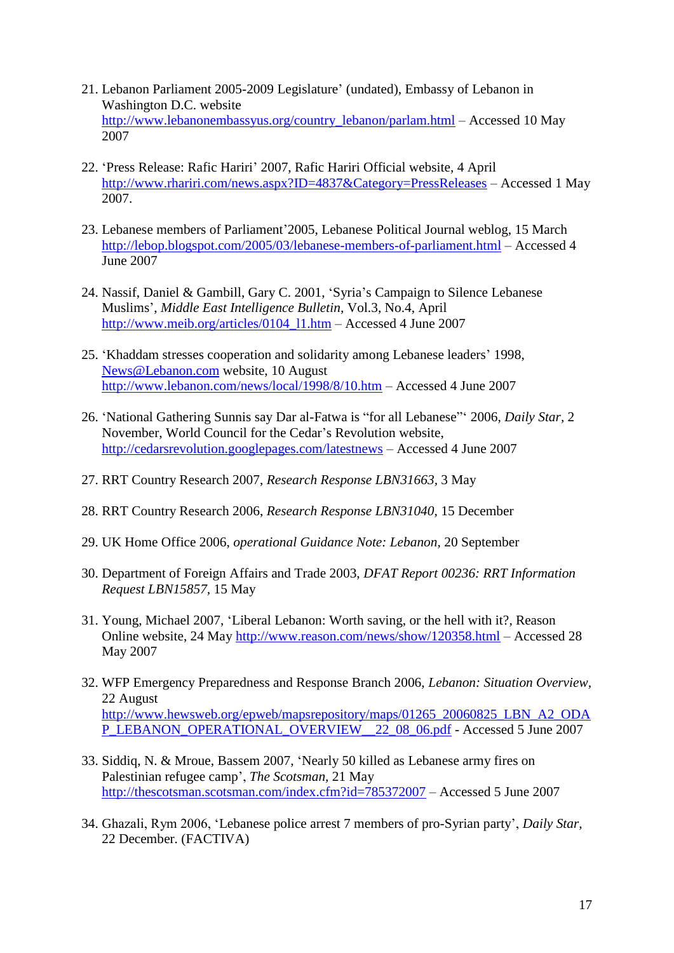- 21. Lebanon Parliament 2005-2009 Legislature" (undated), Embassy of Lebanon in Washington D.C. website [http://www.lebanonembassyus.org/country\\_lebanon/parlam.html](http://www.lebanonembassyus.org/country_lebanon/parlam.html) – Accessed 10 May 2007
- 22. 'Press Release: Rafic Hariri' 2007, Rafic Hariri Official website, 4 April <http://www.rhariri.com/news.aspx?ID=4837&Category=PressReleases> – Accessed 1 May 2007.
- 23. Lebanese members of Parliament"2005, Lebanese Political Journal weblog, 15 March <http://lebop.blogspot.com/2005/03/lebanese-members-of-parliament.html> – Accessed 4 June 2007
- 24. Nassif, Daniel & Gambill, Gary C. 2001, "Syria"s Campaign to Silence Lebanese Muslims", *Middle East Intelligence Bulletin,* Vol.3, No.4, April [http://www.meib.org/articles/0104\\_l1.htm](http://www.meib.org/articles/0104_l1.htm) – Accessed 4 June 2007
- 25. "Khaddam stresses cooperation and solidarity among Lebanese leaders" 1998, [News@Lebanon.com](mailto:News@Lebanon.com) website, 10 August <http://www.lebanon.com/news/local/1998/8/10.htm> – Accessed 4 June 2007
- 26. "National Gathering Sunnis say Dar al-Fatwa is "for all Lebanese"" 2006, *Daily Star,* 2 November, World Council for the Cedar"s Revolution website, <http://cedarsrevolution.googlepages.com/latestnews> – Accessed 4 June 2007
- 27. RRT Country Research 2007, *Research Response LBN31663,* 3 May
- 28. RRT Country Research 2006, *Research Response LBN31040,* 15 December
- 29. UK Home Office 2006, *operational Guidance Note: Lebanon,* 20 September
- 30. Department of Foreign Affairs and Trade 2003, *DFAT Report 00236: RRT Information Request LBN15857,* 15 May
- 31. Young, Michael 2007, "Liberal Lebanon: Worth saving, or the hell with it?, Reason Online website, 24 May<http://www.reason.com/news/show/120358.html> – Accessed 28 May 2007
- 32. WFP Emergency Preparedness and Response Branch 2006, *Lebanon: Situation Overview,*  22 August [http://www.hewsweb.org/epweb/mapsrepository/maps/01265\\_20060825\\_LBN\\_A2\\_ODA](http://www.hewsweb.org/epweb/mapsrepository/maps/01265_20060825_LBN_A2_ODAP_LEBANON_OPERATIONAL_OVERVIEW__22_08_06.pdf) [P\\_LEBANON\\_OPERATIONAL\\_OVERVIEW\\_\\_22\\_08\\_06.pdf](http://www.hewsweb.org/epweb/mapsrepository/maps/01265_20060825_LBN_A2_ODAP_LEBANON_OPERATIONAL_OVERVIEW__22_08_06.pdf) - Accessed 5 June 2007
- 33. Siddiq, N. & Mroue, Bassem 2007, "Nearly 50 killed as Lebanese army fires on Palestinian refugee camp", *The Scotsman,* 21 May <http://thescotsman.scotsman.com/index.cfm?id=785372007> – Accessed 5 June 2007
- 34. Ghazali, Rym 2006, "Lebanese police arrest 7 members of pro-Syrian party", *Daily Star,*  22 December. (FACTIVA)